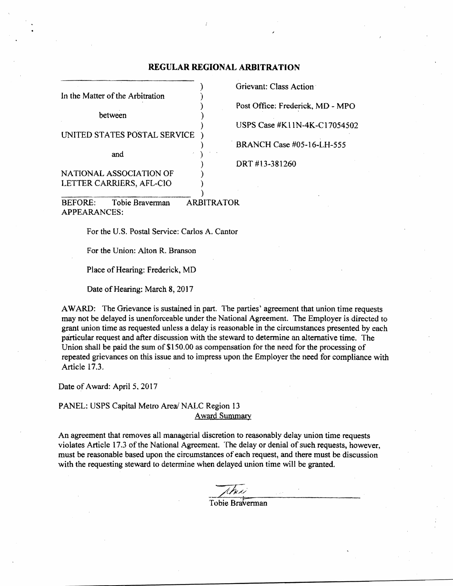# **REGULAR REGIONAL ARBITRATION**

|                                  | Grievant: Class Action    |
|----------------------------------|---------------------------|
| In the Matter of the Arbitration |                           |
|                                  | Post Office: Frederick,   |
| hetween                          |                           |
|                                  | USPS Case #K11N-4K        |
| UNITED STATES POSTAL SERVICE     |                           |
|                                  | <b>BRANCH Case #05-16</b> |
| and                              |                           |
|                                  | DRT#13-381260             |
| NATIONAL ASSOCIATION OF          |                           |
| LETTER CARRIERS, AFL-CIO         |                           |
|                                  |                           |
|                                  |                           |

) Post Office: Frederick, MD - MPO ) USPS Case #KIIN-4K-C17054502 ) . BRANCH Case #05-16-LH-555 ) DRT #13-381260

BEFORE: Tobie Braverman ARBITRATOR APPEARANCES:

For the U.S. Postal Service: Carlos A. Cantor

For the Union: Alton R. Branson

Place of Hearing: Frederick, MD

Date of Hearing: March 8, 2017

AWARD: The Grievance is sustained in part. The parties' agreement that union time requests may not be delayed is unenforceable under the National Agreement. The Employer is directed to grant union time as requested unless a delay is reasonable in the circumstances presented by each particular request and after discussion with the steward to determine an alternative time. The Union shall be paid the sum of \$150.00 as compensation for the need for the processing of repeated grievances on this issue and to impress upon the Employer the need for compliance with Article 17.3.

Date of Award: April 5, 2017

PANEL: USPS Capital Metro Area/ NALC Region 13 **Award Summary** 

An agreement that removes all managerial discretion to reasonably delay union time requests violates Article 17.3 of the National Agreement. The delay or denial of such requests, however, must be reasonable based upon the circumstances of each request, and there must be discussion with the requesting steward to determine when delayed union time will be granted,

Tobie Braverman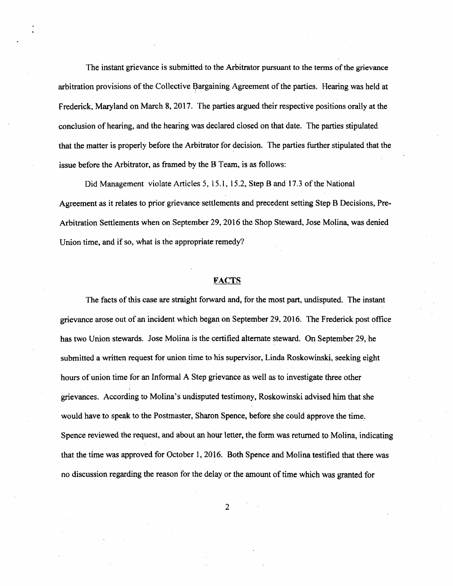The instant grievance is submitted to the Arbitrator pursuant to the terms of the grievance arbitration provisions of the Collective Bargaining Agreement of the parties. Hearing was held at Frederick, Maryland on March 8, 2017. The parties argued their respective positions orally at the conclusion of hearing, and the hearing was declared closed on that date. The parties stipulated that the matter is properly before the Arbitrator for decision. The parties further stipulated that the issue before the Arbitrator, as framed by the B Team, is *as* follows:

Did Management violate Articles 5, 15.1, 15.2, Step Band 17.3 of the National Agreement as it relates to prior grievance settlements and precedent setting Step B Decisions, Pre-Arbitration Settlements when on September 29,2016 the Shop Steward, Jose Molina, was denied Union time, and if so, what is the appropriate remedy?

## **FACTS**

The facts ofthis case are straight forward and, for the most part, undisputed. The instant grievance arose out of an incident which began on September 29, 2016. The Frederick post office has two Union stewards. Jose Molina is the certified alternate steward. On September 29, he submitted a written request for union time to his supervisor, Linda Roskowinski, seeking eight hours of union time for an Informal A Step grievance as well as to investigate three other grievances. According to Molina's undisputed testimony, Roskowinski advised him that she would have to speak to the Postmaster, Sharon Spence, before she could approve the time. Spence reviewed the request, and about an hour letter, the form was returned to Molina, indicating that the time was approved for October 1,2016. Both Spence and Molina testified that there was no discussion regarding the reason for the delay or the amount of time which was granted for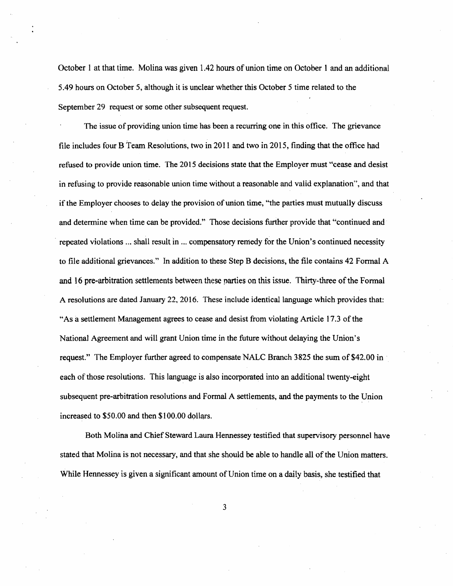October 1 at that time. Molina was given 1.42 hours of union time on October 1 and an additional 5.49 hours on October 5, although it is unclear whether this October 5 time related to the September 29 request or some other subsequent request.

The issue of providing union time has been a recurring one in this office. The grievance file includes four B Team Resolutions, two in 2011 and two in 2015, finding that the office had refused to provide union time. The 2015 decisions state that the Employer must "cease and desist in refusing to provide reasonable union time without a reasonable and valid explanation", and that if the Employer chooses to delay the provision of union time, "the parties must mutually discuss and determine when time can be provided." Those decisions further provide that "continued and . repeated violations ... shall result in ... compensatory remedy for the Union's continued necessity to file additional grievances." In addition to these Step B decisions, the file contains 42 Fonnal A and 16 pre-arbitration settlements between these parties on this issue. Thirty-three of the Formal A resolutions are dated January 22, 2016. These include identical language which provides that: "As a settlement Management agrees to cease and desist from violating Article 17.3 of the National Agreement and will grant Union time in the future without delaying the Union's request." The Employer further agreed to compensate NALC Branch 3825 the sum of \$42.00 in each of those resolutions. This language is also incorporated into an additional twenty-eight subsequent pre-arbitration resolutions and Formal A settlements, and the payments to the Union increased to \$50.00 and then \$100.00 dollars.

Both Molina and Chief Steward Laura Hennessey testified that supervisory personnel have stated that Molina is not necessary, and that she should be able to handle all of the Union matters. While Hennessey is given a significant amount of Union time on a daily basis, she testified that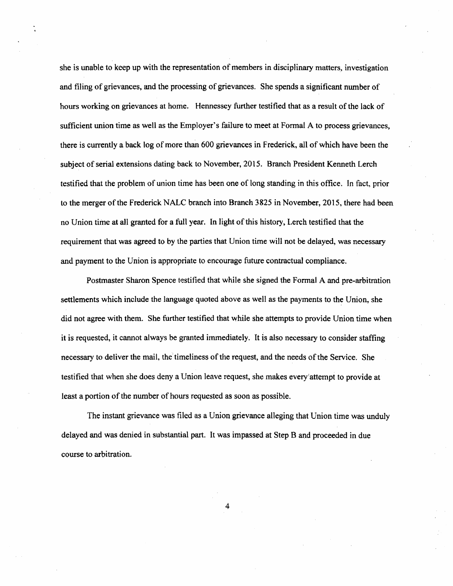she is unable to keep up with the representation of members in disciplinary matters, investigation and filing of grievances, and the processing of grievances. She spends a significant number of hours working on grievances at home. Hennessey further testified that as a result of the lack of sufficient union time as well as the Employer's failure to meet at Formal A to process grievances, there is currently a back log of more than 600 grievances in Frederick, all of which have been the subject of serial extensions dating back to November, 2015. Branch President Kenneth Lerch testified that the problem of union time has been one of long standing in this office. In fact, prior to the merger of the Frederick NALC branch into Branch 3825 in November, 2015, there had been no Union time at all granted for a full year. In light of this history, Lerch testified that the requirement that was agreed to by the parties that Union time will not be delayed, was necessary and payment to the Union is appropriate to encourage future contractual compliance.

Postmaster Sharon Spence testified that while she signed the Formal A and pre-arbitration settlements which include the language quoted above as well as the payments to the Union, she did not agree with them. She further testified that while she attempts to provide Union time when it is requested, it cannot always be granted immediately. It is also necessary to consider staffing necessary to deliver the mail, the timeliness of the request, and the needs of the Service. She testified that when she does deny a Union leave request, she makes every'attempt to provide at least a portion of the number of hours requested as soon as possible.

The instant grievance was filed as a Union grievance alleging that Union time was unduly delayed and was denied in substantial part. It was impassed at Step B and proceeded in due course to arbitration.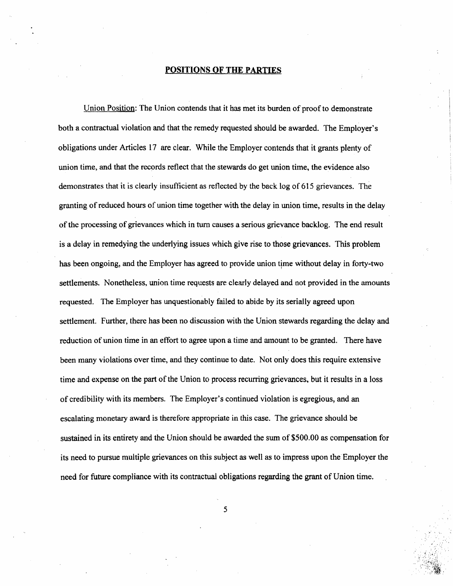#### **POSITIONS OF THE PARTIES**

Union Position: The Union contends that it has met its burden of proof to demonstrate both a contractual violation and that the remedy requested should be awarded. The Employer's obligations under Articles 17 are clear. While the Employer contends that it grants plenty of union time, and that the records reflect that the stewards do get union time, the evidence also demonstrates that it is clearly insufficient as reflected by the back log of 615 grievances. The granting of reduced hours of union time together with the delay in union time, results in the delay ofthe processing of grievances which in tum causes a serious grievance backlog. The end result is a delay in remedying the underlying issues which give rise to those grievances. This problem has been ongoing, and the Employer has agreed to provide union time without delay in forty-two settlements. Nonetheless, union time requests are clearly delayed and not provided in the amounts requested. The Employer has unquestionably failed to abide by its serially agreed upon settlement. Further, there has been no discussion with the Union stewards regarding the delay and reduction of union time in an effort to agree upon a time and amount to be granted. There have been many violations over time, and they continue to date. Not only does this require extensive time and expense on the part of the Union to process recurring grievances, but it results in a loss of credibility with its members. The Employer's continued violation is egregious, and an escalating monetary award is therefore appropriate in this case. The grievance should be sustained in its entirety and the Union should be awarded the sum of \$500.00 as compensation for its need to pursue multiple grievances on this subject as well as to impress upon the Employer the need for future compliance with its contractual obligations regarding the grant of Union time.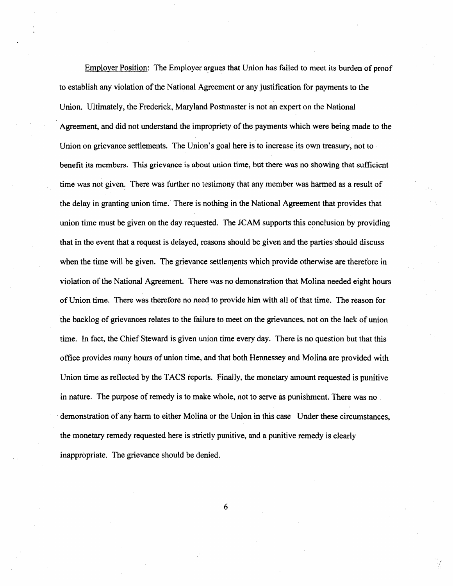Employer Position: The Employer argues that Union has failed to meet its burden of proof to establish any violation of the National Agreement or any justification for payments to the Union. Ultimately, the Frederick, Maryland Postmaster is not an expert on the National Agreement, and did not understand the impropriety of the payments which were being made to the Union on grievance settlements. The Union's goal here is to increase its own treasury, not to benefit its members. This grievance is about union time, but there was no showing that sufficient time was not given. There was further no testimony that any member was harmed as a result of the delay in granting union time.' There is nothing in the National Agreement that provides that union time must be given on the day requested. The JCAM supports this conclusion by providing that in the event that a request is delayed, reasons should be given and the parties should discuss when the time will be given. The grievance settlements which provide otherwise are theretore in violation of the National Agreement. There was no demonstration that Molina needed eight hours of Union time. There was therefore no need to provide him with all of that time. The reason for the backlog of grievances relates to the failure to meet on the grievances. not on the lack of union time. In fact, the Chief Steward is given union time every day. There is no question but that this office provides many hours of union time, and that both Hennessey and Molina are provided with Union time as reflected by the TACS reports. Finally, the monetary amount requested is punitive in nature. The purpose of remedy is to make whole, not to serve as punishment. There was no . demonstration of any harm to either Molina or the Union in this case Under these circumstances, the monetary remedy requested here is strictly punitive, and a punitive remedy is clearly inappropriate. The grievance should be denied.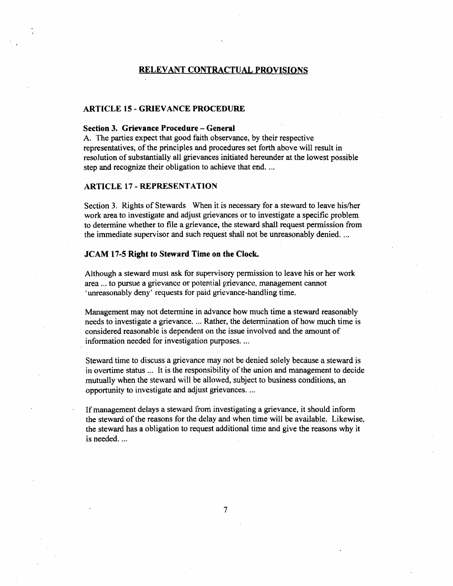## RELEVANT CONTRACTUAL PROVISIONS

#### ARTICLE 15 - GRIEVANCE PROCEDURE

## Section 3. Grievance Procedure - General

A. The parties expect that good faith observance, by their respective representatives, of the principles and procedures set forth above will result in resolution of substantially all grievances initiated hereunder at the lowest possible step and recognize their obligation to achieve that end. ...

#### ARTICLE 17 - REPRESENTATION

Section 3. Rights of Stewards When it is necessary for a steward to leave his/her work area to investigate and adjust grievances or to investigate a specific problem to detennine whether to file a grievance, the steward shall request permission from the immediate supervisor and such request shall not be unreasonably denied. ...

#### JCAM 17-5 Right to Steward Time on the Clock.

Although a steward must ask tor supervisory pennission to leave his or her work area ... to pursue a grievance or potential grievance, management cannot 'unreasonably deny' requests for paid grievance-handling time.

Management may not determine in advance how much time a steward reasonably needs to investigate a grievance.... Rather, the determination of how much time is considered reasonable is dependent on the issue involved and the amount of information needed for investigation purposes....

Steward time to discuss a grievance may not be denied solely because a steward is in overtime status ... It is the responsibility of the union and management to decide mutually when the steward will be allowed, subject to business conditions, an opportunity to investigate and adjust grievances ....

If management delays a steward from investigating a grievance, it should inform the steward of the reasons for the delay and when time will be available. Likewise, the steward has a obligation to request additional time and give the reasons why it is needed...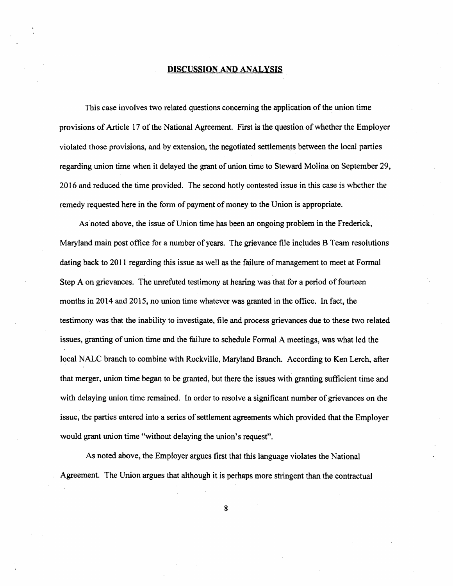### DISCUSSION AND ANALYSIS

This case involves two related questions concerning the application of the union time provisions of Article 17 of the National Agreement. First is the question of whether the Employer violated those provisions, and by extension, the negotiated settlements between the local parties regarding union time when it delayed the grant of union time to Steward Molina on September 29, 2016 and reduced the time provided. The second hotly contested issue in this case is whether the remedy requested here in the form of payment of money to the Union is appropriate.

As noted above, the issue of Union time has been an ongoing problem in the Frederick, Maryland main post office for a number of years. The grievance file includes B Team resolutions dating back to 2011 regarding this issue as well as the failure of management to meet at Formal Step A on grievances. The unrefuted testimony at hearing was that for a period of fourteen months in 2014 and 2015, no union time whatever was granted in the office. In fact, the testimony was that the inability to investigate, fiIe and process grievances due to these two related issues, granting of union time and the failure to schedule Formal A meetings, was what led the local NALC branch to combine with Rockville, Maryland Branch. According to Ken Lerch, after that merger, union time began to be granted, but there the issues with granting sufficient time and with delaying union time remained. In order to resolve a signiticant number of grievances on the issue, the parties entered into a series of settlement agreements which provided that the Employer would grant union time "without delaying the union's request".

As noted above, the Employer argues first that this language violates the National Agreement. The Union argues that although it is perhaps more stringent than the contractual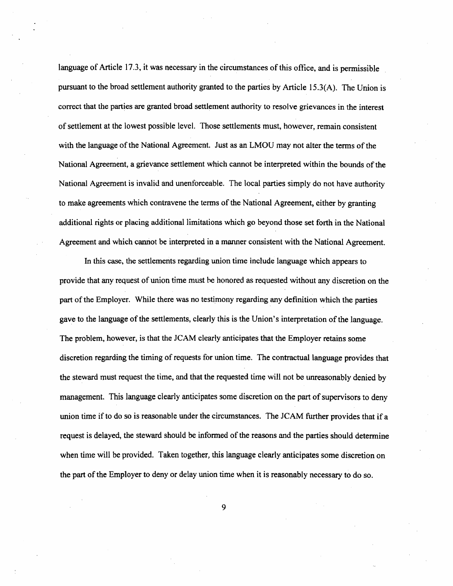language of Article 17.3, it was necessary in the circumstances ofthis office, and is permissible pursuant to the broad settlement authority granted to the parties by Article 15.3(A). The Union is correct that the parties are granted broad settlement authority to resolve grievances in the interest of settlement at the lowest possible level. Those settlements must, however, remain consistent with the language of the National Agreement. Just as an LMOU may not alter the terms of the National Agreement, a grievance settlement which cannot be interpreted within the bounds of the National Agreement is invalid and unenforceable. The local parties simply do not have authority to make agreements which contravene the terms of the National Agreement, either by granting additional rights or placing additional limitations which go beyond those set forth in the National Agreement and which cannot be interpreted in a manner consistent with the National Agreement.

In this case, the settlements regarding union time include language which appears to provide that any request of union time must he honored as requested without any discretion on the part of the Employer. While there was no testimony regarding any definition which the parties gave to the language of the settlements, clearly this is the Union's interpretation of the language. The problem, however, is that the JCAM clearly anticipates that the Employer retains some discretion regarding the timing of requests for union time. The contractual language provides that the steward must request the time, and that the requested time will not be unreasonably denied by management. This language clearly anticipates some discretion on the part of supervisors to deny union time if to do so is reasonable under the circumstances. The JCAM further provides that if a request is delayed, the steward should be informed of the reasons and the parties should detennine when time will be provided. Taken together, this language clearly anticipates some discretion on the part of the Employer to deny or delay union time when it is reasonably necessary to do so.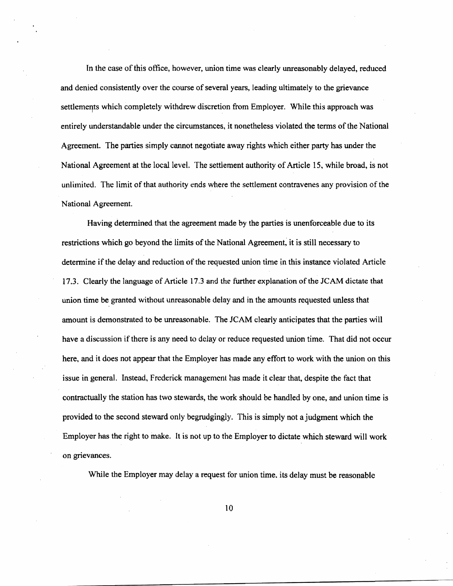In the case of this office, however, union time was clearly unreasonably delayed, reduced and denied consistently over the course of several years, leading ultimately to the grievance settlements which completely withdrew discretion from Employer. While this approach was entirely understandable under the circumstances, it nonetheless violated the terms of the National Agreement. The parties simply cannot negotiate away rights which either party has under the National Agreement at the local level. The settlement authority of Article 15, while broad, is not unlimited. The limit of that authority ends where the settlement contravenes any provision of the National Agreement.

Having detennined that the agreement made by the parties is unenforceable due to its restrictions which go beyond the limits of the National Agreement, it is still necessary to determine if the delay and reduction of the requested union time in this instance violated Article 17.3. Clearly the language of Article 17.3 and the further explanation ofthe JCAM dictate that union time be, granted without unreasonable delay and in the amounts requested unless that amount is demonstrated to be unreasonable. The JCAM clearly anticipates that the parties will have a discussion ifthere is any need to delay or reduce requested union time. That did not occur here, and it does not appear that the Employer has made any effort to work with the union on this issue in general. Instead, Frederick management has made it clear that, despite the fact that contractually the station has two stewards, the work should be handled by one, and union time is provided to the second steward only begrudgingly. This is simply not a judgment which the Employer has the right to make. It is not up to the Employer to dictate which steward will work on grievances.

While the Employer may delay a request tor union time. its delay must be reasonable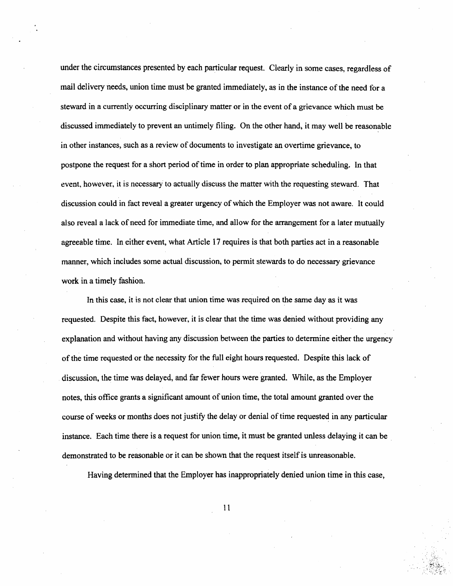under the circwnstances presented by each particular request. Clearly in some cases, regardless of mail delivery needs, union time must be granted immediately, as in the instance of the need for a steward in a currently occurring disciplinary matter or in the event of a grievance which must be discussed immediately to prevent an untimely filing. On the other hand, it may well be reasonable in other instances, such as a review of documents to investigate an overtime grievance, to postpone the request for a short period of time in order to plan appropriate scheduling. In that event, however, it is necessary to actually discuss the matter with the requesting steward. That discussion could in fact reveal a greater urgency of which the Employer was not aware. It could also reveal a lack of need for immediate time, and allow for the arrangement for a later mutually agreeable time. In either event, what Article 17 requires is that both parties act in a reasonable manner, which includes some actual discussion, to permit stewards to do necessary grievance work in a timely fashion.

In this case, it is not clear that union time was required on the same day as it was requested. Despite this fact, however, it is clear that the time was denied without providing any explanation and without having any discussion between the parties to determine either the urgency of the time requested or the necessity for the full eight hours requested. Despite this lack of discussion, the time was delayed, and far fewer hours were granted. While, as the Employer notes, this office grants a significant amount of union time, the total amount granted over the course of weeks or months does not justify the delay or denial of time requested in any particular instance. Each time there is a request for union time, it must be granted unless delaying it can be demonstrated to be reasonable or it can be shown that the request itself is unreasonable.

Having determined that the Employer has inappropriately denied union time in this case,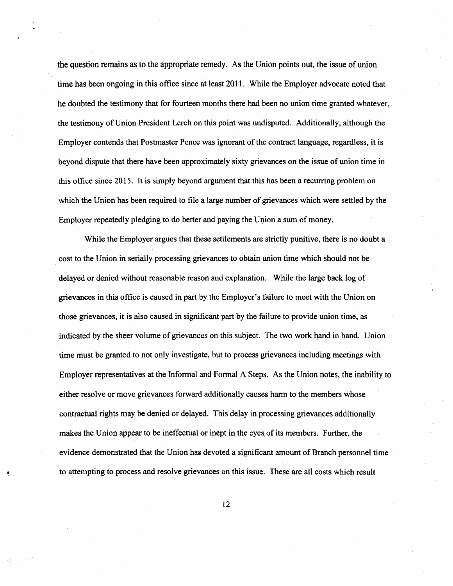the question remains as to the appropriate remedy. As the Union points out. the issue ofunion time has been ongoing in this office since at least 2011. While the Employer advocate noted that he doubted the testimony that for fourteen months there had been no union time granted whatever, the testimony of Union President Lerch on this point was undisputed. Additionally~ although the Employer contends that Postmaster Pence was ignorant of the contract language, regardless, it is beyond dispute that there have been approximately sixty grievances on the issue of union time in this office since 2015. It is simply beyond argument that this has been a recurring problem on which the Union has been required to file a large number of grievances which were settled by the Employer repeatedly pledging to do better and paying the Union a sum of money.

While the Employer argues that these settlements are strictly punitive, there is no doubt a cost to the Union in serially processing grievances to obtain union time which should not be delayed or denied without reasonable reason and explanation. While the large back log of grievances in this office is caused in part by the Employer's failure to meet with the Union on those grievances, it is also caused in significant part by the failure to provide union time~ as indicated by the sheer volume of grievances on this subject. The two work hand in hand. Union time must be granted to not only investigate, but to process grievances including meetings with Employer representatives at the Informal and Fonnal A Steps. As the Union notes, the inability to either resolve or move grievances forward additionally causes harm to the members whose contractual rights may be denied or delayed. This delay in processing grievances additionally makes the Union appear to be ineffectual or inept in the eyes, of its members. Further. the evidence demonstrated that the Union has devoted a significant amount of Branch personnel time to attempting to process and resolve grievances on this issue. These are all costs which result

12

•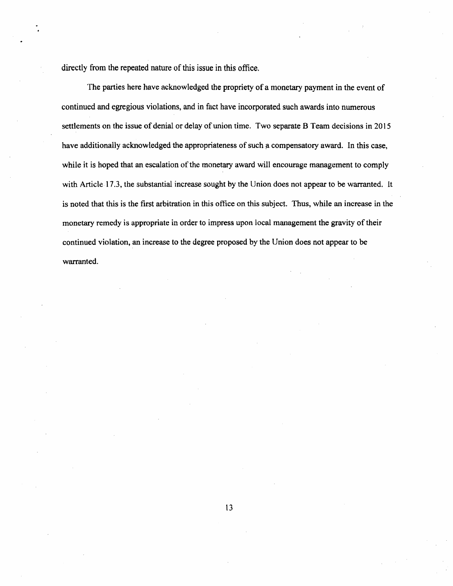directly from the repeated nature of this issue in this office.

The parties here have acknowledged the propriety of a monetary payment in the event of continued and egregious violations, and in fact have incorporated such awards into numerous settlements on the issue of denial or delay of union time. Two separate B Team decisions in 2015 have additionally acknowledged the appropriateness of such a compensatory award. In this case, while it is hoped that an escalation of the monetary award will encourage management to comply with Article 17.3, the substantial increase sought by the Union does not appear to be warranted. It is noted that this is the first arbitration in this office on this subject. Thus, while an increase in the monetary remedy is appropriate in order to impress upon local management the gravity of their continued violation, an increase to the degree proposed by the Union does not appear to be warranted.